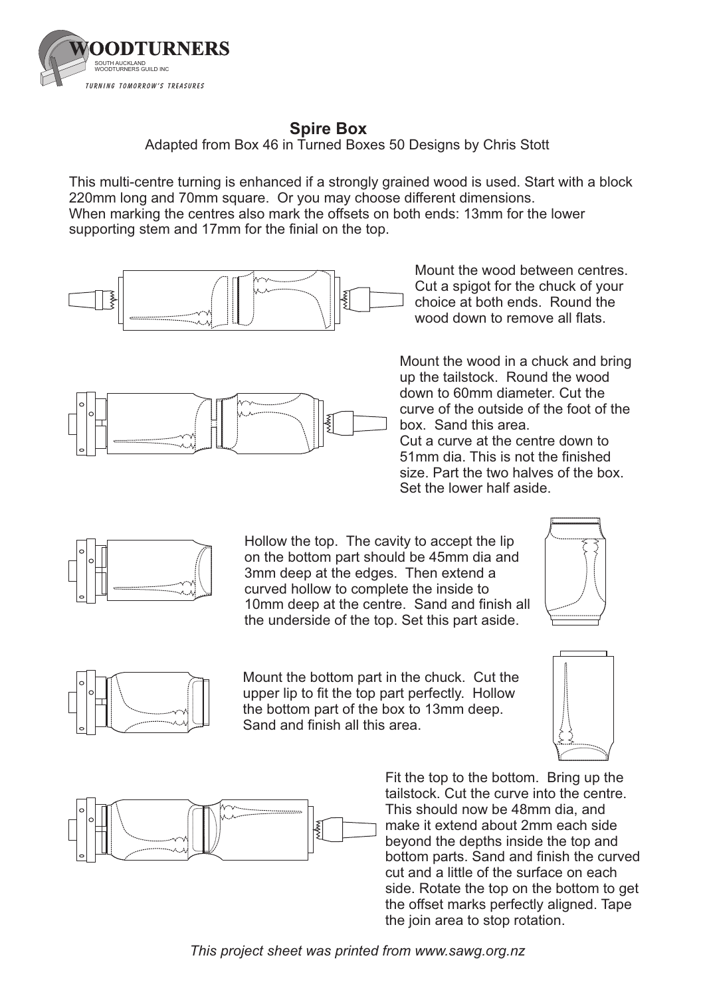

## **Spire Box**

Adapted from Box 46 in Turned Boxes 50 Designs by Chris Stott

When marking the centres also mark the offsets on both ends: 13mm for the lower supporting stem and 17mm for the finial on the top. This multi-centre turning is enhanced if a strongly grained wood is used. Start with a block 220mm long and 70mm square. Or you may choose different dimensions.



Mount the wood between centres. Cut a spigot for the chuck of your choice at both ends. Round the wood down to remove all flats.



Mount the wood in a chuck and bring up the tailstock. Round the wood down to 60mm diameter. Cut the curve of the outside of the foot of the box. Sand this area.

Cut a curve at the centre down to 51mm dia. This is not the finished size. Part the two halves of the box. Set the lower half aside.



Hollow the top. The cavity to accept the lip on the bottom part should be 45mm dia and 3mm deep at the edges. Then extend a curved hollow to complete the inside to 10mm deep at the centre. Sand and finish all the underside of the top. Set this part aside.





Mount the bottom part in the chuck. Cut the upper lip to fit the top part perfectly. Hollow the bottom part of the box to 13mm deep. Sand and finish all this area.





Fit the top to the bottom. Bring up the tailstock. Cut the curve into the centre. This should now be 48mm dia, and make it extend about 2mm each side beyond the depths inside the top and bottom parts. Sand and finish the curved cut and a little of the surface on each side. Rotate the top on the bottom to get the offset marks perfectly aligned. Tape the join area to stop rotation.

*This project sheet was printed from www.sawg.org.nz*